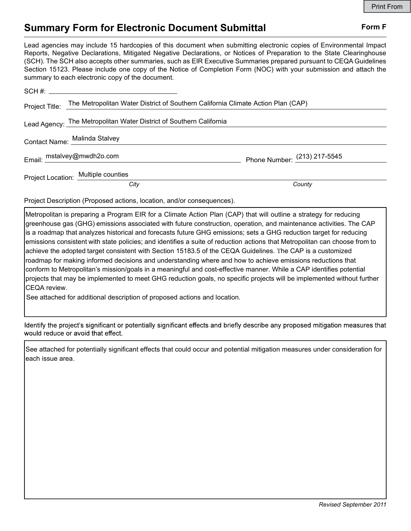# Summary Form for Electronic Document Submittal Form F

Lead agencies may include 15 hardcopies of this document when submitting electronic copies of Environmental Impact Reports, Negative Declarations, Mitigated Negative Declarations, or Notices of Preparation to the State Clearinghouse (SCH). The SCH also accepts other summaries, such as EIR Executive Summaries prepared pursuant to CEQA Guidelines Section 15123. Please include one copy of the Notice of Completion Form (NOC) with your submission and attach the summary to each electronic copy of the document.

|  | Project Title: The Metropolitan Water District of Southern California Climate Action Plan (CAP) |                                |
|--|-------------------------------------------------------------------------------------------------|--------------------------------|
|  | Lead Agency: The Metropolitan Water District of Southern California                             |                                |
|  | Contact Name: Malinda Stalvey                                                                   |                                |
|  | Email: mstalvey@mwdh2o.com                                                                      | Phone Number: $(213)$ 217-5545 |
|  | Project Location: Multiple counties                                                             |                                |
|  | City                                                                                            | County                         |

Project Description (Proposed actions, location, and/or consequences).

Metropolitan is preparing a Program EIR for a Climate Action Plan (CAP) that will outline a strategy for reducing greenhouse gas (GHG) emissions associated with future construction, operation, and maintenance activities. The CAP is a roadmap that analyzes historical and forecasts future GHG emissions; sets a GHG reduction target for reducing emissions consistent with state policies; and identifies a suite of reduction actions that Metropolitan can choose from to achieve the adopted target consistent with Section 15183.5 of the CEQA Guidelines. The CAP is a customized roadmap for making informed decisions and understanding where and how to achieve emissions reductions that conform to Metropolitan's mission/goals in a meaningful and cost-effective manner. While a CAP identifies potential projects that may be implemented to meet GHG reduction goals, no specific projects will be implemented without further CEQA review.

See attached for additional description of proposed actions and location.

Identify the project's significant or potentially significant effects and briefly describe any proposed mitigation measures that would reduce or avoid that effect.

See attached for potentially significant effects that could occur and potential mitigation measures under consideration for each issue area.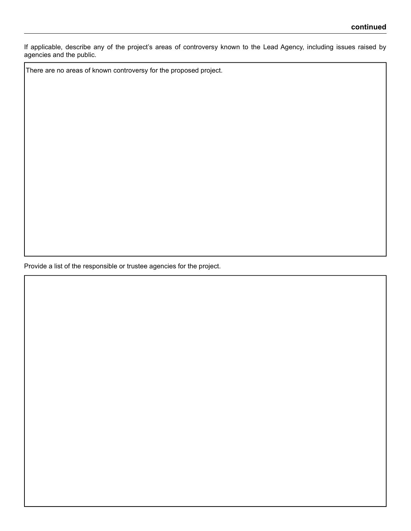If applicable, describe any of the project's areas of controversy known to the Lead Agency, including issues raised by agencies and the public.

There are no areas of known controversy for the proposed project.

Provide a list of the responsible or trustee agencies for the project.